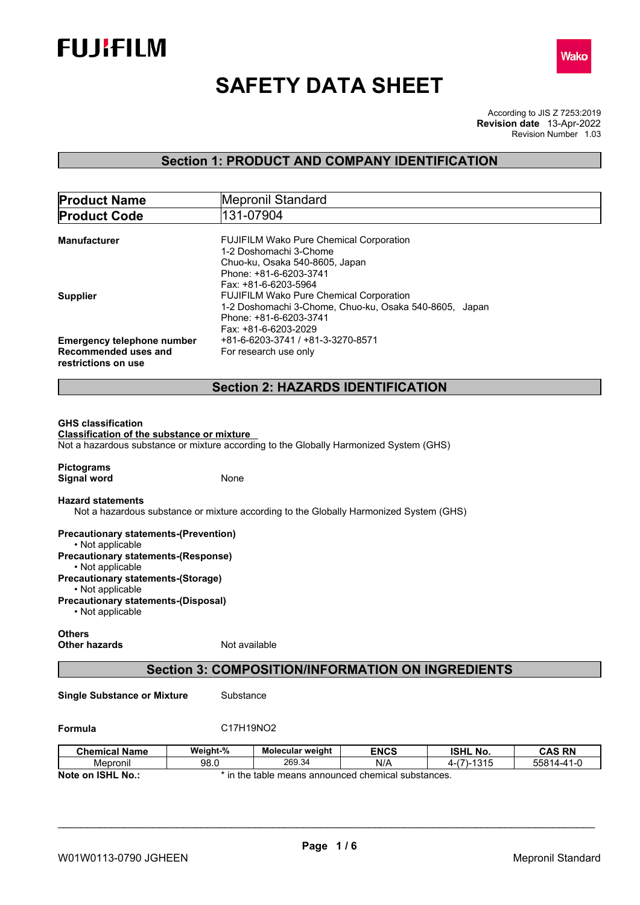



# **SAFETY DATA SHEET**

According to JIS Z 7253:2019 Revision Number 1.03 **Revision date** 13-Apr-2022

# **Section 1: PRODUCT AND COMPANY IDENTIFICATION**

| <b>Product Name</b>                                                                                                                                              |               | Mepronil Standard                                                                                                                                            |             |                 |               |
|------------------------------------------------------------------------------------------------------------------------------------------------------------------|---------------|--------------------------------------------------------------------------------------------------------------------------------------------------------------|-------------|-----------------|---------------|
| <b>Product Code</b>                                                                                                                                              |               | 131-07904                                                                                                                                                    |             |                 |               |
| <b>Manufacturer</b>                                                                                                                                              |               | <b>FUJIFILM Wako Pure Chemical Corporation</b><br>1-2 Doshomachi 3-Chome<br>Chuo-ku, Osaka 540-8605, Japan<br>Phone: +81-6-6203-3741<br>Fax: +81-6-6203-5964 |             |                 |               |
| <b>Supplier</b>                                                                                                                                                  |               | FUJIFILM Wako Pure Chemical Corporation<br>1-2 Doshomachi 3-Chome, Chuo-ku, Osaka 540-8605, Japan<br>Phone: +81-6-6203-3741<br>Fax: +81-6-6203-2029          |             |                 |               |
| <b>Emergency telephone number</b><br>Recommended uses and<br>restrictions on use                                                                                 |               | +81-6-6203-3741 / +81-3-3270-8571<br>For research use only                                                                                                   |             |                 |               |
|                                                                                                                                                                  |               | <b>Section 2: HAZARDS IDENTIFICATION</b>                                                                                                                     |             |                 |               |
| <b>Classification of the substance or mixture</b><br>Not a hazardous substance or mixture according to the Globally Harmonized System (GHS)<br><b>Pictograms</b> |               |                                                                                                                                                              |             |                 |               |
| <b>Signal word</b><br><b>Hazard statements</b><br>Not a hazardous substance or mixture according to the Globally Harmonized System (GHS)                         | None          |                                                                                                                                                              |             |                 |               |
| <b>Precautionary statements-(Prevention)</b><br>• Not applicable<br><b>Precautionary statements-(Response)</b>                                                   |               |                                                                                                                                                              |             |                 |               |
| • Not applicable<br><b>Precautionary statements-(Storage)</b><br>• Not applicable<br><b>Precautionary statements-(Disposal)</b>                                  |               |                                                                                                                                                              |             |                 |               |
| • Not applicable                                                                                                                                                 |               |                                                                                                                                                              |             |                 |               |
| <b>Others</b><br><b>Other hazards</b>                                                                                                                            | Not available |                                                                                                                                                              |             |                 |               |
|                                                                                                                                                                  |               | <b>Section 3: COMPOSITION/INFORMATION ON INGREDIENTS</b>                                                                                                     |             |                 |               |
| <b>Single Substance or Mixture</b>                                                                                                                               | Substance     |                                                                                                                                                              |             |                 |               |
| Formula                                                                                                                                                          | C17H19NO2     |                                                                                                                                                              |             |                 |               |
| <b>Chemical Name</b>                                                                                                                                             | Weight-%      | Molecular weight                                                                                                                                             | <b>ENCS</b> | <b>ISHL No.</b> | <b>CAS RN</b> |
| Mepronil                                                                                                                                                         | 98.0          | 269.34                                                                                                                                                       | N/A         | $4-(7)-1315$    | 55814-41-0    |
| Note on ISHL No.:                                                                                                                                                |               | * in the table means announced chemical substances.                                                                                                          |             |                 |               |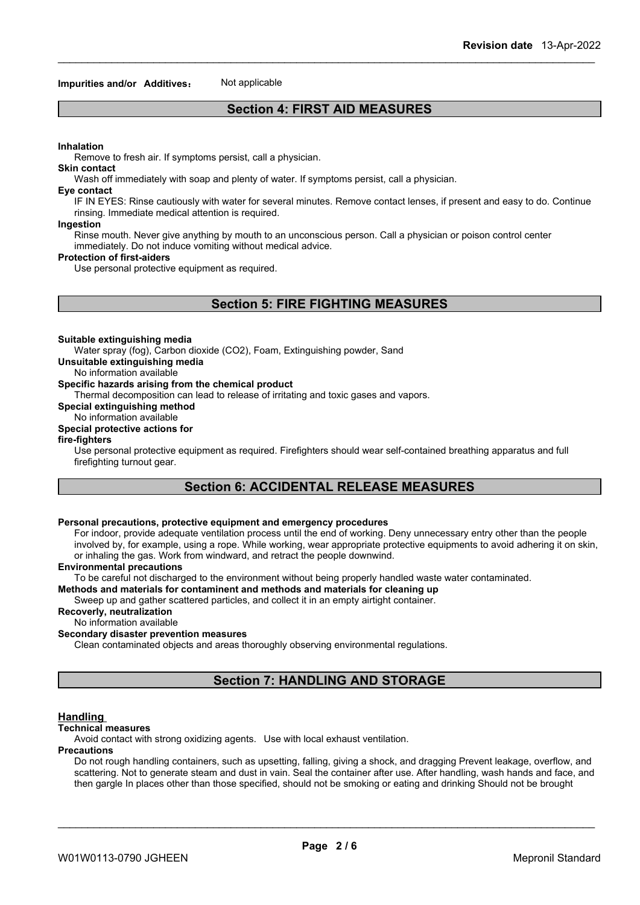#### **Impurities and/or Additives:** Not applicable

# **Section 4: FIRST AID MEASURES**

#### **Inhalation**

Remove to fresh air. If symptoms persist, call a physician.

#### **Skin contact**

Wash off immediately with soap and plenty of water. If symptoms persist, calla physician.

#### **Eye contact**

IF IN EYES: Rinse cautiously with water for several minutes. Remove contact lenses, if present and easy to do. Continue rinsing. Immediate medical attention is required.

#### **Ingestion**

Rinse mouth. Never give anything by mouth to an unconscious person. Call a physician or poison control center immediately. Do not induce vomiting without medical advice.

#### **Protection of first-aiders**

Use personal protective equipment as required.

# **Section 5: FIRE FIGHTING MEASURES**

#### **Suitable extinguishing media**

Water spray (fog), Carbon dioxide (CO2), Foam, Extinguishing powder, Sand

**Unsuitable extinguishing media**

#### No information available

### **Specific hazards arising from the chemical product**

Thermal decomposition can lead to release of irritating and toxic gases and vapors.

**Special extinguishing method**

# No information available

# **Special protective actions for**

#### **fire-fighters**

Use personal protective equipment as required.Firefighters should wear self-contained breathing apparatus and full firefighting turnout gear.

# **Section 6: ACCIDENTAL RELEASE MEASURES**

#### **Personal precautions, protective equipment and emergency procedures**

For indoor, provide adequate ventilation process until the end of working. Deny unnecessary entry other than the people involved by, for example, using a rope. While working, wear appropriate protective equipments to avoid adhering it on skin, or inhaling the gas. Work from windward, and retract the people downwind.

#### **Environmental precautions**

To be careful not discharged to the environment without being properly handled waste water contaminated.

#### **Methods and materials for contaminent and methods and materials for cleaning up**

Sweep up and gather scattered particles, and collect it in an empty airtight container.

**Recoverly, neutralization**

# No information available

# **Secondary disaster prevention measures**

Clean contaminated objects and areas thoroughly observing environmental regulations.

# **Section 7: HANDLING AND STORAGE**

#### **Handling**

#### **Technical measures**

Avoid contact with strong oxidizing agents. Use with local exhaust ventilation.

#### **Precautions**

Do not rough handling containers, such as upsetting, falling, giving a shock, and dragging Prevent leakage, overflow, and scattering. Not to generate steam and dust in vain. Seal the container after use. After handling, wash hands and face, and then gargle In places other than those specified, should not be smoking or eating and drinking Should not be brought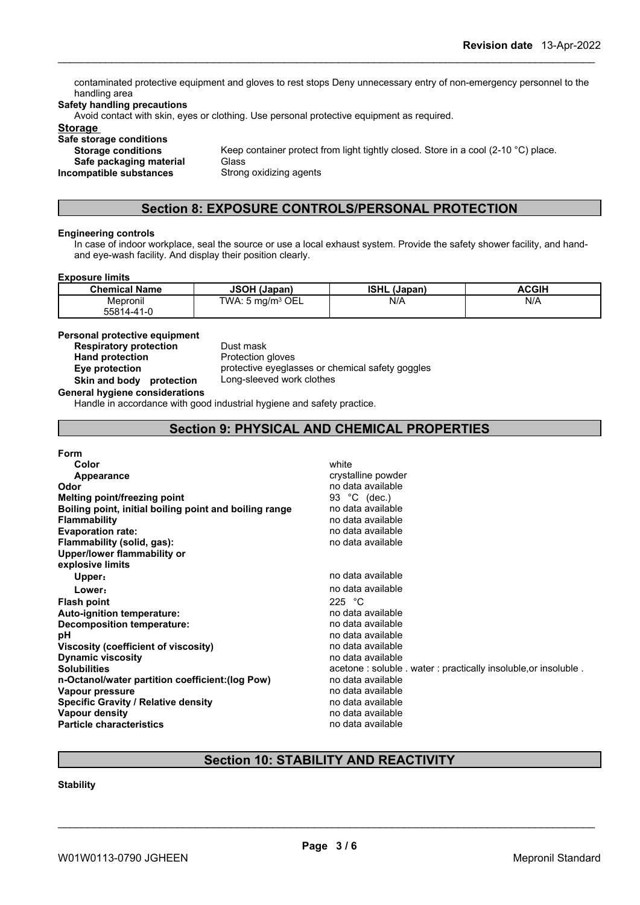contaminated protective equipment and gloves to rest stops Deny unnecessary entry of non-emergency personnel to the handling area

#### **Safety handling precautions**

Avoid contact with skin, eyes or clothing. Use personal protective equipment as required.

# **Storage**

**Safe storage conditions Safe packaging material** Glass<br>**ompatible substances** Strong oxidizing agents **Incompatible** substances

**Storage conditions** Keep container protect from light tightly closed. Store in a cool (2-10 °C) place.

# **Section 8: EXPOSURE CONTROLS/PERSONAL PROTECTION**

#### **Engineering controls**

In case of indoor workplace, seal the source or use a local exhaust system. Provide the safety shower facility, and handand eye-wash facility. And display their position clearly.

#### **Exposure limits**

| <b>Chemical Name</b> | <b>JSOH (Japan)</b>                       | <b>ISHL</b><br>(Japan) | <b>ACGIF</b> |
|----------------------|-------------------------------------------|------------------------|--------------|
| Mepronil             | $\cdot$ 5 mg/m <sup>3</sup> OEL<br>TWA: ∖ | N/A                    | N/A          |
| 55814-41-ቦ           |                                           |                        |              |

**Personal protective equipment**

**Respiratory protection** Dust mask<br> **Hand protection**<br> **Protection gloves Hand** protection

**Eye protection** protective eyeglasses or chemical safety goggles **Skin and body protection** Long-sleeved work clothes

**General hygiene considerations**

Handle in accordance with good industrial hygiene and safety practice.

# **Section 9: PHYSICAL AND CHEMICAL PROPERTIES**

| <b>Form</b>                                            |                                                                |
|--------------------------------------------------------|----------------------------------------------------------------|
| Color                                                  | white                                                          |
| Appearance                                             | crystalline powder                                             |
| Odor                                                   | no data available                                              |
| Melting point/freezing point                           | 93 °C (dec.)                                                   |
| Boiling point, initial boiling point and boiling range | no data available                                              |
| <b>Flammability</b>                                    | no data available                                              |
| <b>Evaporation rate:</b>                               | no data available                                              |
| Flammability (solid, gas):                             | no data available                                              |
| Upper/lower flammability or                            |                                                                |
| explosive limits                                       |                                                                |
| Upper:                                                 | no data available                                              |
| Lower:                                                 | no data available                                              |
| <b>Flash point</b>                                     | 225 $\degree$ C                                                |
| Auto-ignition temperature:                             | no data available                                              |
| Decomposition temperature:                             | no data available                                              |
| рH                                                     | no data available                                              |
| Viscosity (coefficient of viscosity)                   | no data available                                              |
| <b>Dynamic viscosity</b>                               | no data available                                              |
| <b>Solubilities</b>                                    | acetone: soluble . water: practically insoluble, or insoluble. |
| n-Octanol/water partition coefficient: (log Pow)       | no data available                                              |
| Vapour pressure                                        | no data available                                              |
| <b>Specific Gravity / Relative density</b>             | no data available                                              |
| Vapour density                                         | no data available                                              |
| <b>Particle characteristics</b>                        | no data available                                              |

# **Section 10: STABILITY AND REACTIVITY**

# **Stability**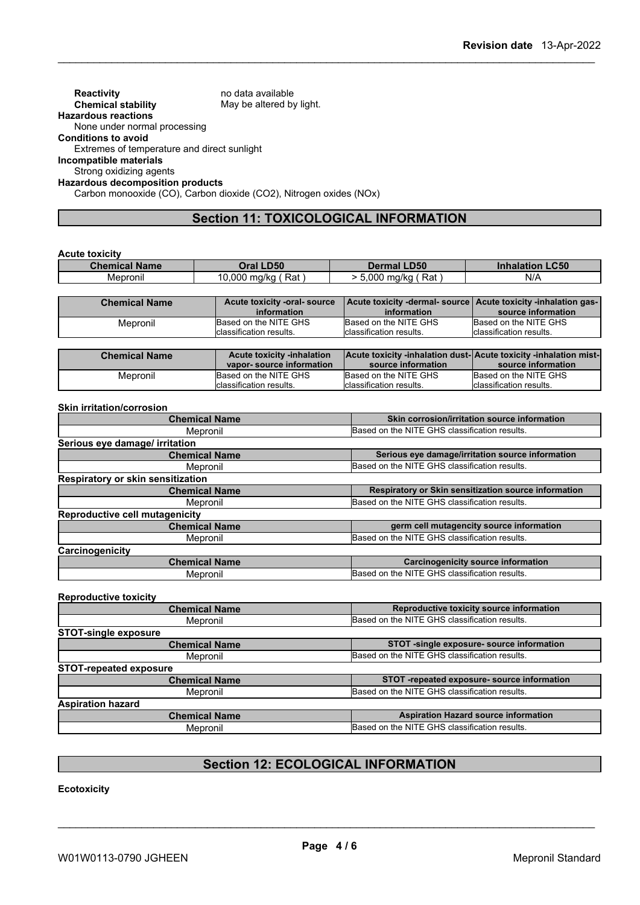**Reactivity** no data available<br> **Chemical stability** May be altered by May be altered by light. **Hazardous reactions** None under normal processing **Conditions to avoid** Extremes of temperature and direct sunlight **Incompatible materials** Strong oxidizing agents **Hazardous decomposition products** Carbon monooxide (CO), Carbon dioxide (CO2), Nitrogen oxides (NOx)

# **Section 11: TOXICOLOGICAL INFORMATION**

|  | Acute toxicity |  |
|--|----------------|--|
|--|----------------|--|

| <b>Chemical Name</b> | <b>LD50</b><br><b>Dral</b> | <b>Dermal LD50</b>   | <b>.C50</b><br>Inhalal |
|----------------------|----------------------------|----------------------|------------------------|
| . .<br>Mepronil      | Rat<br>.000<br>ma/ka       | .000<br>Rat<br>ma/ka | N/A                    |

| <b>Chemical Name</b> | Acute toxicity -oral- source | Acute toxicity -dermal-source Acute toxicity -inhalation gas- |                          |
|----------------------|------------------------------|---------------------------------------------------------------|--------------------------|
|                      | information                  | information                                                   | source information       |
| Mepronil             | Based on the NITE GHS        | Based on the NITE GHS                                         | Based on the NITE GHS    |
|                      | Iclassification results.     | classification results.                                       | Iclassification results. |

| <b>Chemical Name</b> | <b>Acute toxicity -inhalation</b> | <b>Acute toxicity -inhalation dust-Acute toxicity -inhalation mist-</b> |                          |
|----------------------|-----------------------------------|-------------------------------------------------------------------------|--------------------------|
|                      | vapor-source information          | source information                                                      | source information       |
| Mepronil             | Based on the NITE GHS             | Based on the NITE GHS                                                   | Based on the NITE GHS    |
|                      | Iclassification results.          | Iclassification results.                                                | Iclassification results. |

#### **Skin irritation/corrosion**

| <b>Chemical Name</b>                  | Skin corrosion/irritation source information         |  |
|---------------------------------------|------------------------------------------------------|--|
| Mepronil                              | Based on the NITE GHS classification results.        |  |
| Serious eye damage/ irritation        |                                                      |  |
| <b>Chemical Name</b>                  | Serious eye damage/irritation source information     |  |
| Mepronil                              | Based on the NITE GHS classification results.        |  |
| Respiratory or skin sensitization     |                                                      |  |
| <b>Chemical Name</b>                  | Respiratory or Skin sensitization source information |  |
| Mepronil                              | Based on the NITE GHS classification results.        |  |
| <b>Reproductive cell mutagenicity</b> |                                                      |  |
| <b>Chemical Name</b>                  | germ cell mutagencity source information             |  |
| Mepronil                              | Based on the NITE GHS classification results.        |  |
| Carcinogenicity                       |                                                      |  |
| <b>Chemical Name</b>                  | <b>Carcinogenicity source information</b>            |  |
| Mepronil                              | Based on the NITE GHS classification results.        |  |

#### **Reproductive toxicity**

| <b>Chemical Name</b>          | Reproductive toxicity source information      |
|-------------------------------|-----------------------------------------------|
| Mepronil                      | Based on the NITE GHS classification results. |
| <b>STOT-single exposure</b>   |                                               |
| <b>Chemical Name</b>          | STOT -single exposure- source information     |
| Mepronil                      | Based on the NITE GHS classification results. |
| <b>STOT-repeated exposure</b> |                                               |
| <b>Chemical Name</b>          | STOT -repeated exposure- source information   |
| Mepronil                      | Based on the NITE GHS classification results. |
| <b>Aspiration hazard</b>      |                                               |
| <b>Chemical Name</b>          | <b>Aspiration Hazard source information</b>   |
| Mepronil                      | Based on the NITE GHS classification results. |
|                               |                                               |

# **Section 12: ECOLOGICAL INFORMATION**

**Ecotoxicity**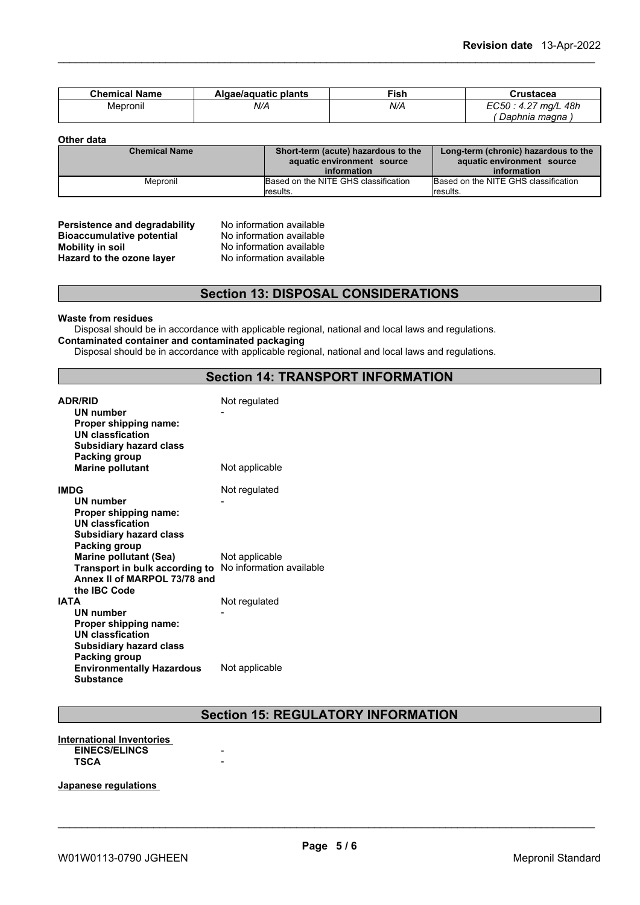| <b>Chemical Name</b> | Algae/aguatic plants | Fish | Crustacea                                              |
|----------------------|----------------------|------|--------------------------------------------------------|
| Mepronil             | N/A                  | N/A  | 48h<br>FC50.<br>$\sqrt{2}$<br>' ma/L<br>∟∪∪ບ<br>r. . i |
|                      |                      |      | Daphnia magna                                          |

**Other data**

| <b>Chemical Name</b> | Short-term (acute) hazardous to the<br>aquatic environment source | Long-term (chronic) hazardous to the<br>aquatic environment source |
|----------------------|-------------------------------------------------------------------|--------------------------------------------------------------------|
|                      | information                                                       | information                                                        |
| Mepronil             | Based on the NITE GHS classification                              | Based on the NITE GHS classification                               |
|                      | <i>I</i> results.                                                 | results.                                                           |

# **Persistence and degradability** No information available<br>**Bioaccumulative potential** No information available **Bioaccumulative potential<br>Mobility in soil Hazard** to the ozone layer

No information available<br>No information available

# **Section 13: DISPOSAL CONSIDERATIONS**

**Waste from residues**

Disposal should be in accordance with applicable regional, national and local laws and regulations. **Contaminated container and contaminated packaging**

Disposal should be in accordance with applicable regional, national and local laws and regulations.

### **Section 14: TRANSPORT INFORMATION**

| <b>ADR/RID</b><br><b>UN number</b><br>Proper shipping name:<br><b>UN classfication</b><br><b>Subsidiary hazard class</b><br>Packing group | Not regulated  |
|-------------------------------------------------------------------------------------------------------------------------------------------|----------------|
| <b>Marine pollutant</b>                                                                                                                   | Not applicable |
| <b>IMDG</b><br>UN number<br>Proper shipping name:<br>UN classfication<br><b>Subsidiary hazard class</b><br>Packing group                  | Not regulated  |
| <b>Marine pollutant (Sea)</b><br>Transport in bulk according to No information available<br>Annex II of MARPOL 73/78 and<br>the IBC Code  | Not applicable |
| IATA<br><b>UN number</b><br>Proper shipping name:<br><b>UN classfication</b><br><b>Subsidiary hazard class</b><br>Packing group           | Not regulated  |
| <b>Environmentally Hazardous</b><br><b>Substance</b>                                                                                      | Not applicable |

# **Section 15: REGULATORY INFORMATION**

#### **International Inventories**  $EINECS/ELINCS$ **TSCA** -

**Japanese regulations**